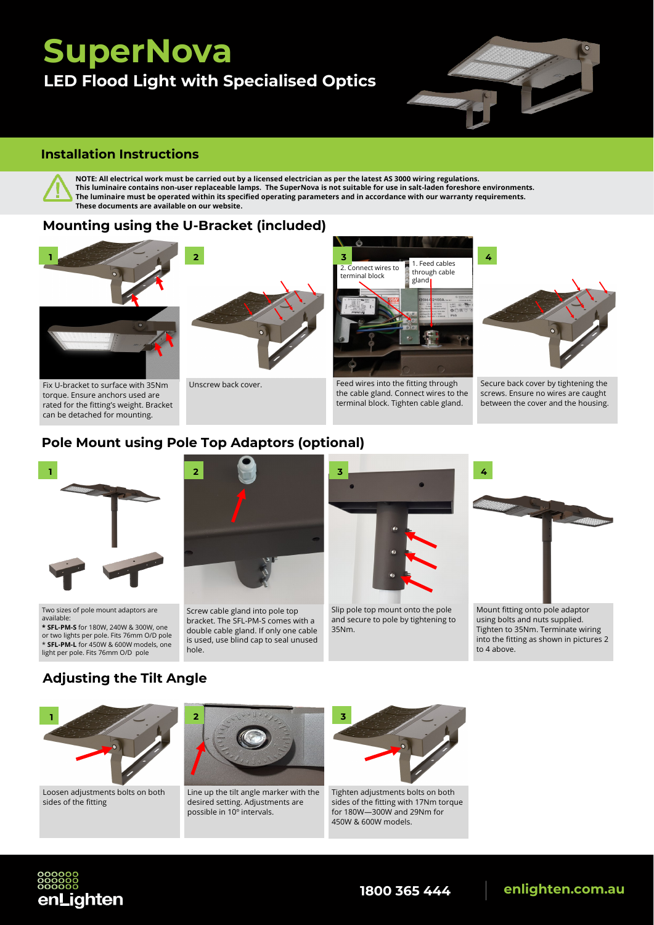# **SuperNova LED Flood Light with Specialised Optics**



#### **Installation Instructions**



**NOTE: All electrical work must be carried out by a licensed electrician as per the latest AS 3000 wiring regulations. This luminaire contains non-user replaceable lamps. The SuperNova is not suitable for use in salt-laden foreshore environments. The luminaire must be operated within its specified operating parameters and in accordance with our warranty requirements. These documents are available on our website.** 

#### **Mounting using the U-Bracket (included)**



Fix U-bracket to surface with 35Nm torque. Ensure anchors used are rated for the fitting's weight. Bracket can be detached for mounting.



Unscrew back cover.



Feed wires into the fitting through the cable gland. Connect wires to the terminal block. Tighten cable gland.



Secure back cover by tightening the screws. Ensure no wires are caught between the cover and the housing.

#### **Pole Mount using Pole Top Adaptors (optional)**



Two sizes of pole mount adaptors are available:

**\* SFL-PM-S** for 180W, 240W & 300W, one or two lights per pole. Fits 76mm O/D pole \* **SFL-PM-L** for 450W & 600W models, one light per pole. Fits 76mm O/D pole



Screw cable gland into pole top bracket. The SFL-PM-S comes with a double cable gland. If only one cable is used, use blind cap to seal unused hole.



Slip pole top mount onto the pole and secure to pole by tightening to 35Nm.



Mount fitting onto pole adaptor using bolts and nuts supplied. Tighten to 35Nm. Terminate wiring into the fitting as shown in pictures 2 to 4 above.

## **Adjusting the Tilt Angle**



Loosen adjustments bolts on both sides of the fitting

enLighten



Line up the tilt angle marker with the desired setting. Adjustments are possible in 10º intervals.



Tighten adjustments bolts on both sides of the fitting with 17Nm torque for 180W—300W and 29Nm for 450W & 600W models.